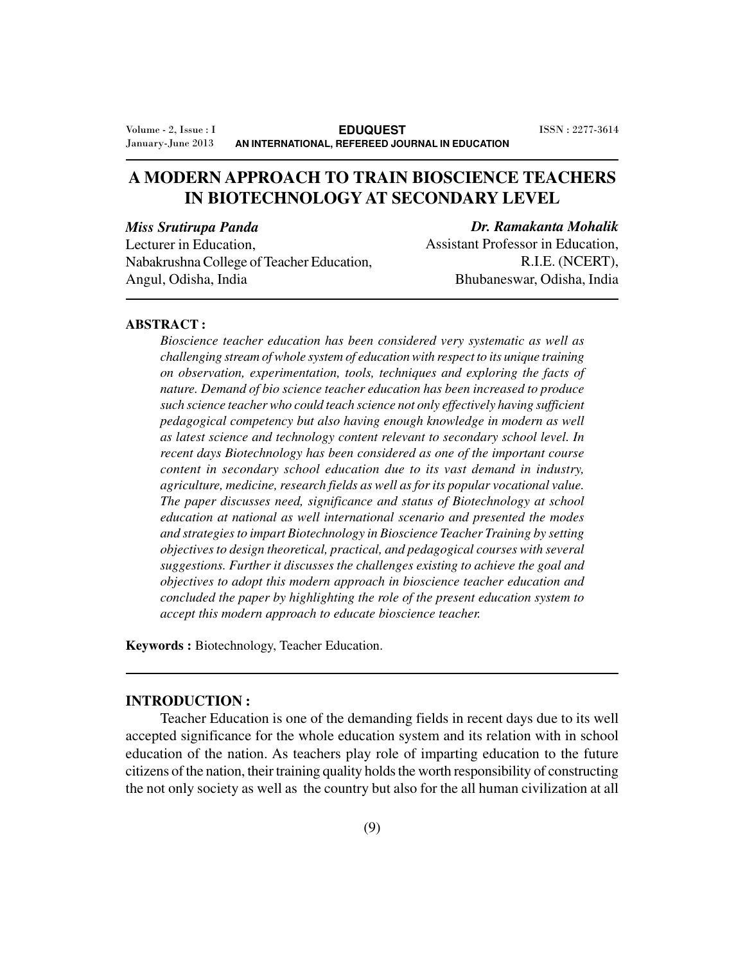# **A MODERN APPROACH TO TRAIN BIOSCIENCE TEACHERS IN BIOTECHNOLOGY AT SECONDARY LEVEL**

*Miss Srutirupa Panda*

*Dr. Ramakanta Mohalik*

Lecturer in Education, Nabakrushna College of Teacher Education, Angul, Odisha, India

Assistant Professor in Education, R.I.E. (NCERT), Bhubaneswar, Odisha, India

#### **ABSTRACT :**

*Bioscience teacher education has been considered very systematic as well as challenging stream of whole system of education with respect to its unique training on observation, experimentation, tools, techniques and exploring the facts of nature. Demand of bio science teacher education has been increased to produce such science teacher who could teach science not only effectively having sufficient pedagogical competency but also having enough knowledge in modern as well as latest science and technology content relevant to secondary school level. In recent days Biotechnology has been considered as one of the important course content in secondary school education due to its vast demand in industry, agriculture, medicine, research fields as well as for its popular vocational value. The paper discusses need, significance and status of Biotechnology at school education at national as well international scenario and presented the modes and strategies to impart Biotechnology in Bioscience Teacher Training by setting objectives to design theoretical, practical, and pedagogical courses with several suggestions. Further it discusses the challenges existing to achieve the goal and objectives to adopt this modern approach in bioscience teacher education and concluded the paper by highlighting the role of the present education system to accept this modern approach to educate bioscience teacher.*

**Keywords :** Biotechnology, Teacher Education.

#### **INTRODUCTION :**

Teacher Education is one of the demanding fields in recent days due to its well accepted significance for the whole education system and its relation with in school education of the nation. As teachers play role of imparting education to the future citizens of the nation, their training quality holds the worth responsibility of constructing the not only society as well as the country but also for the all human civilization at all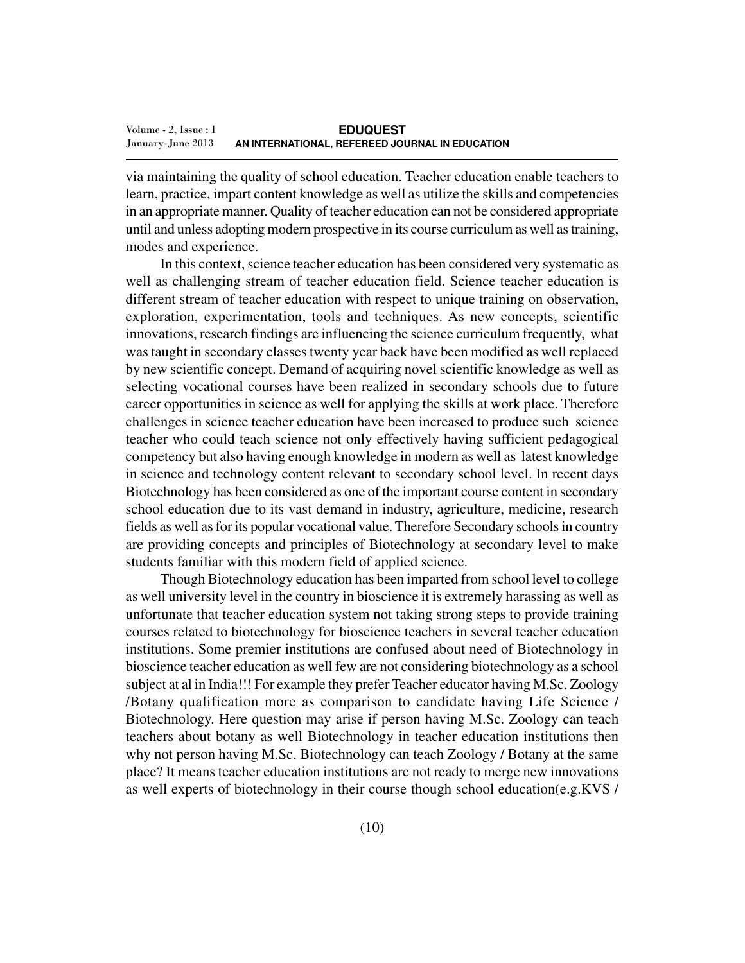via maintaining the quality of school education. Teacher education enable teachers to learn, practice, impart content knowledge as well as utilize the skills and competencies in an appropriate manner. Quality of teacher education can not be considered appropriate until and unless adopting modern prospective in its course curriculum as well as training, modes and experience.

In this context, science teacher education has been considered very systematic as well as challenging stream of teacher education field. Science teacher education is different stream of teacher education with respect to unique training on observation, exploration, experimentation, tools and techniques. As new concepts, scientific innovations, research findings are influencing the science curriculum frequently, what was taught in secondary classes twenty year back have been modified as well replaced by new scientific concept. Demand of acquiring novel scientific knowledge as well as selecting vocational courses have been realized in secondary schools due to future career opportunities in science as well for applying the skills at work place. Therefore challenges in science teacher education have been increased to produce such science teacher who could teach science not only effectively having sufficient pedagogical competency but also having enough knowledge in modern as well as latest knowledge in science and technology content relevant to secondary school level. In recent days Biotechnology has been considered as one of the important course content in secondary school education due to its vast demand in industry, agriculture, medicine, research fields as well as for its popular vocational value. Therefore Secondary schools in country are providing concepts and principles of Biotechnology at secondary level to make students familiar with this modern field of applied science.

Though Biotechnology education has been imparted from school level to college as well university level in the country in bioscience it is extremely harassing as well as unfortunate that teacher education system not taking strong steps to provide training courses related to biotechnology for bioscience teachers in several teacher education institutions. Some premier institutions are confused about need of Biotechnology in bioscience teacher education as well few are not considering biotechnology as a school subject at al in India!!! For example they prefer Teacher educator having M.Sc. Zoology /Botany qualification more as comparison to candidate having Life Science / Biotechnology. Here question may arise if person having M.Sc. Zoology can teach teachers about botany as well Biotechnology in teacher education institutions then why not person having M.Sc. Biotechnology can teach Zoology / Botany at the same place? It means teacher education institutions are not ready to merge new innovations as well experts of biotechnology in their course though school education(e.g.KVS /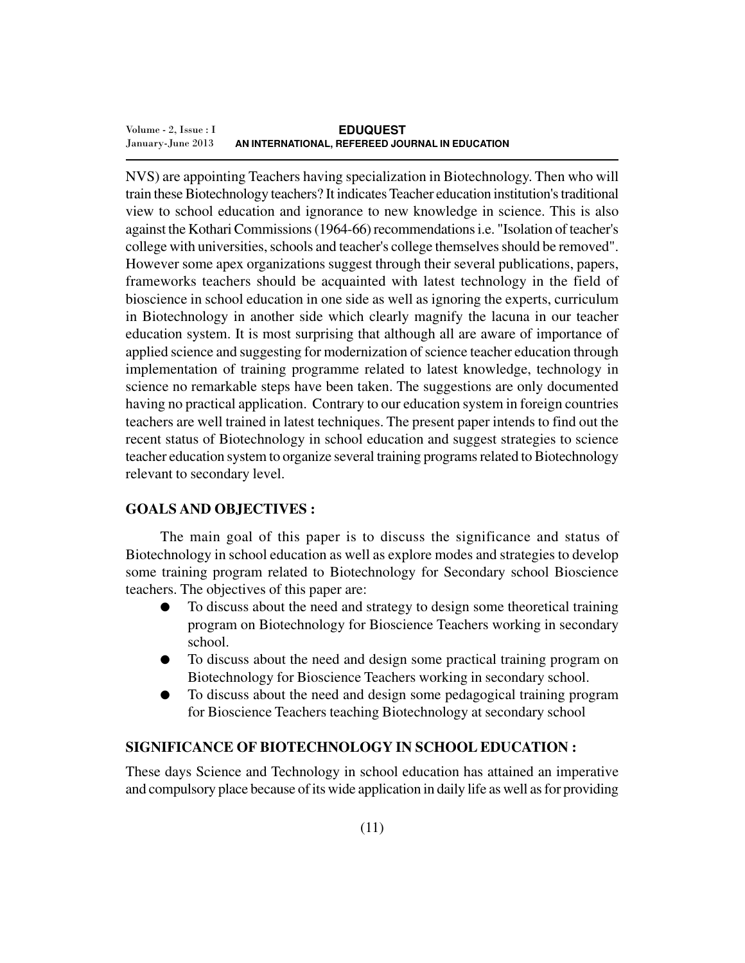NVS) are appointing Teachers having specialization in Biotechnology. Then who will train these Biotechnology teachers? It indicates Teacher education institution's traditional view to school education and ignorance to new knowledge in science. This is also against the Kothari Commissions (1964-66) recommendations i.e. "Isolation of teacher's college with universities, schools and teacher's college themselves should be removed". However some apex organizations suggest through their several publications, papers, frameworks teachers should be acquainted with latest technology in the field of bioscience in school education in one side as well as ignoring the experts, curriculum in Biotechnology in another side which clearly magnify the lacuna in our teacher education system. It is most surprising that although all are aware of importance of applied science and suggesting for modernization of science teacher education through implementation of training programme related to latest knowledge, technology in science no remarkable steps have been taken. The suggestions are only documented having no practical application. Contrary to our education system in foreign countries teachers are well trained in latest techniques. The present paper intends to find out the recent status of Biotechnology in school education and suggest strategies to science teacher education system to organize several training programs related to Biotechnology relevant to secondary level.

## **GOALS AND OBJECTIVES :**

The main goal of this paper is to discuss the significance and status of Biotechnology in school education as well as explore modes and strategies to develop some training program related to Biotechnology for Secondary school Bioscience teachers. The objectives of this paper are:

- To discuss about the need and strategy to design some theoretical training program on Biotechnology for Bioscience Teachers working in secondary school.
- To discuss about the need and design some practical training program on Biotechnology for Bioscience Teachers working in secondary school.
- To discuss about the need and design some pedagogical training program for Bioscience Teachers teaching Biotechnology at secondary school

#### **SIGNIFICANCE OF BIOTECHNOLOGY IN SCHOOL EDUCATION :**

These days Science and Technology in school education has attained an imperative and compulsory place because of its wide application in daily life as well as for providing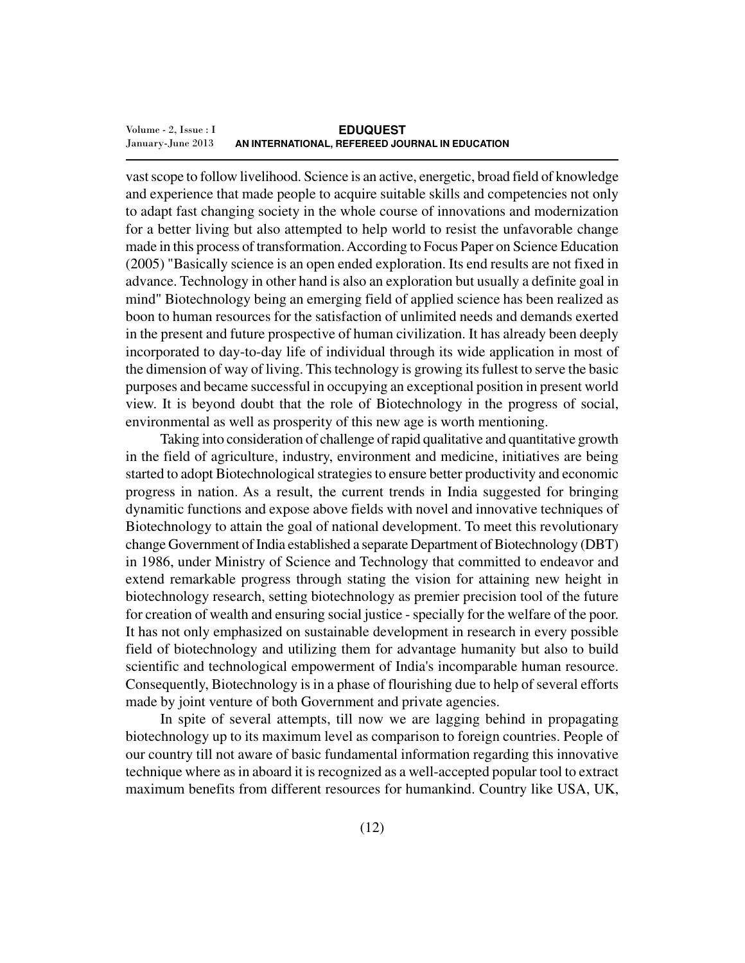vast scope to follow livelihood. Science is an active, energetic, broad field of knowledge and experience that made people to acquire suitable skills and competencies not only to adapt fast changing society in the whole course of innovations and modernization for a better living but also attempted to help world to resist the unfavorable change made in this process of transformation. According to Focus Paper on Science Education (2005) "Basically science is an open ended exploration. Its end results are not fixed in advance. Technology in other hand is also an exploration but usually a definite goal in mind" Biotechnology being an emerging field of applied science has been realized as boon to human resources for the satisfaction of unlimited needs and demands exerted in the present and future prospective of human civilization. It has already been deeply incorporated to day-to-day life of individual through its wide application in most of the dimension of way of living. This technology is growing its fullest to serve the basic purposes and became successful in occupying an exceptional position in present world view. It is beyond doubt that the role of Biotechnology in the progress of social, environmental as well as prosperity of this new age is worth mentioning.

Taking into consideration of challenge of rapid qualitative and quantitative growth in the field of agriculture, industry, environment and medicine, initiatives are being started to adopt Biotechnological strategies to ensure better productivity and economic progress in nation. As a result, the current trends in India suggested for bringing dynamitic functions and expose above fields with novel and innovative techniques of Biotechnology to attain the goal of national development. To meet this revolutionary change Government of India established a separate Department of Biotechnology (DBT) in 1986, under Ministry of Science and Technology that committed to endeavor and extend remarkable progress through stating the vision for attaining new height in biotechnology research, setting biotechnology as premier precision tool of the future for creation of wealth and ensuring social justice - specially for the welfare of the poor. It has not only emphasized on sustainable development in research in every possible field of biotechnology and utilizing them for advantage humanity but also to build scientific and technological empowerment of India's incomparable human resource. Consequently, Biotechnology is in a phase of flourishing due to help of several efforts made by joint venture of both Government and private agencies.

In spite of several attempts, till now we are lagging behind in propagating biotechnology up to its maximum level as comparison to foreign countries. People of our country till not aware of basic fundamental information regarding this innovative technique where as in aboard it is recognized as a well-accepted popular tool to extract maximum benefits from different resources for humankind. Country like USA, UK,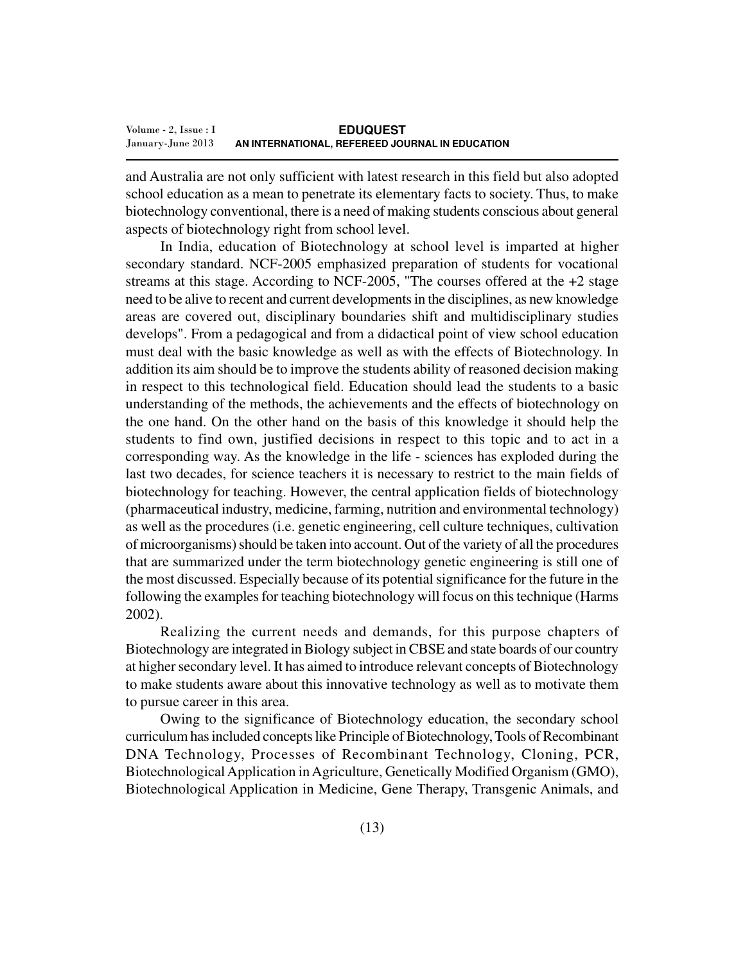and Australia are not only sufficient with latest research in this field but also adopted school education as a mean to penetrate its elementary facts to society. Thus, to make biotechnology conventional, there is a need of making students conscious about general aspects of biotechnology right from school level.

In India, education of Biotechnology at school level is imparted at higher secondary standard. NCF-2005 emphasized preparation of students for vocational streams at this stage. According to NCF-2005, "The courses offered at the +2 stage need to be alive to recent and current developments in the disciplines, as new knowledge areas are covered out, disciplinary boundaries shift and multidisciplinary studies develops". From a pedagogical and from a didactical point of view school education must deal with the basic knowledge as well as with the effects of Biotechnology. In addition its aim should be to improve the students ability of reasoned decision making in respect to this technological field. Education should lead the students to a basic understanding of the methods, the achievements and the effects of biotechnology on the one hand. On the other hand on the basis of this knowledge it should help the students to find own, justified decisions in respect to this topic and to act in a corresponding way. As the knowledge in the life - sciences has exploded during the last two decades, for science teachers it is necessary to restrict to the main fields of biotechnology for teaching. However, the central application fields of biotechnology (pharmaceutical industry, medicine, farming, nutrition and environmental technology) as well as the procedures (i.e. genetic engineering, cell culture techniques, cultivation of microorganisms) should be taken into account. Out of the variety of all the procedures that are summarized under the term biotechnology genetic engineering is still one of the most discussed. Especially because of its potential significance for the future in the following the examples for teaching biotechnology will focus on this technique (Harms 2002).

Realizing the current needs and demands, for this purpose chapters of Biotechnology are integrated in Biology subject in CBSE and state boards of our country at higher secondary level. It has aimed to introduce relevant concepts of Biotechnology to make students aware about this innovative technology as well as to motivate them to pursue career in this area.

Owing to the significance of Biotechnology education, the secondary school curriculum has included concepts like Principle of Biotechnology, Tools of Recombinant DNA Technology, Processes of Recombinant Technology, Cloning, PCR, Biotechnological Application in Agriculture, Genetically Modified Organism (GMO), Biotechnological Application in Medicine, Gene Therapy, Transgenic Animals, and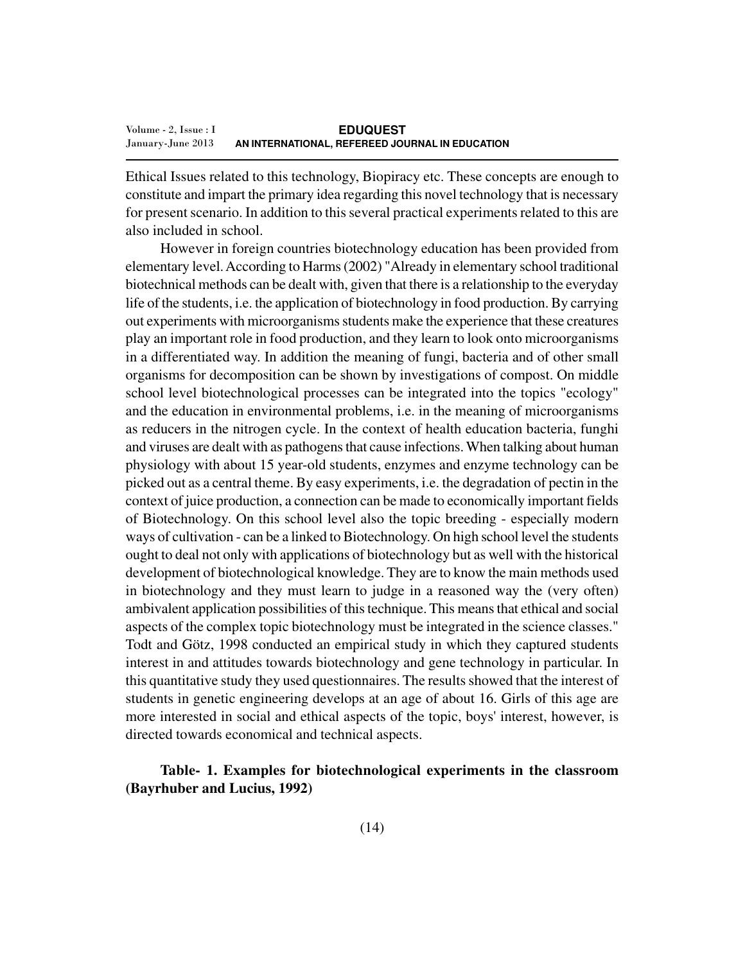Ethical Issues related to this technology, Biopiracy etc. These concepts are enough to constitute and impart the primary idea regarding this novel technology that is necessary for present scenario. In addition to this several practical experiments related to this are also included in school.

However in foreign countries biotechnology education has been provided from elementary level. According to Harms (2002) "Already in elementary school traditional biotechnical methods can be dealt with, given that there is a relationship to the everyday life of the students, i.e. the application of biotechnology in food production. By carrying out experiments with microorganisms students make the experience that these creatures play an important role in food production, and they learn to look onto microorganisms in a differentiated way. In addition the meaning of fungi, bacteria and of other small organisms for decomposition can be shown by investigations of compost. On middle school level biotechnological processes can be integrated into the topics "ecology" and the education in environmental problems, i.e. in the meaning of microorganisms as reducers in the nitrogen cycle. In the context of health education bacteria, funghi and viruses are dealt with as pathogens that cause infections. When talking about human physiology with about 15 year-old students, enzymes and enzyme technology can be picked out as a central theme. By easy experiments, i.e. the degradation of pectin in the context of juice production, a connection can be made to economically important fields of Biotechnology. On this school level also the topic breeding - especially modern ways of cultivation - can be a linked to Biotechnology. On high school level the students ought to deal not only with applications of biotechnology but as well with the historical development of biotechnological knowledge. They are to know the main methods used in biotechnology and they must learn to judge in a reasoned way the (very often) ambivalent application possibilities of this technique. This means that ethical and social aspects of the complex topic biotechnology must be integrated in the science classes." Todt and Götz, 1998 conducted an empirical study in which they captured students interest in and attitudes towards biotechnology and gene technology in particular. In this quantitative study they used questionnaires. The results showed that the interest of students in genetic engineering develops at an age of about 16. Girls of this age are more interested in social and ethical aspects of the topic, boys' interest, however, is directed towards economical and technical aspects.

## **Table- 1. Examples for biotechnological experiments in the classroom (Bayrhuber and Lucius, 1992)**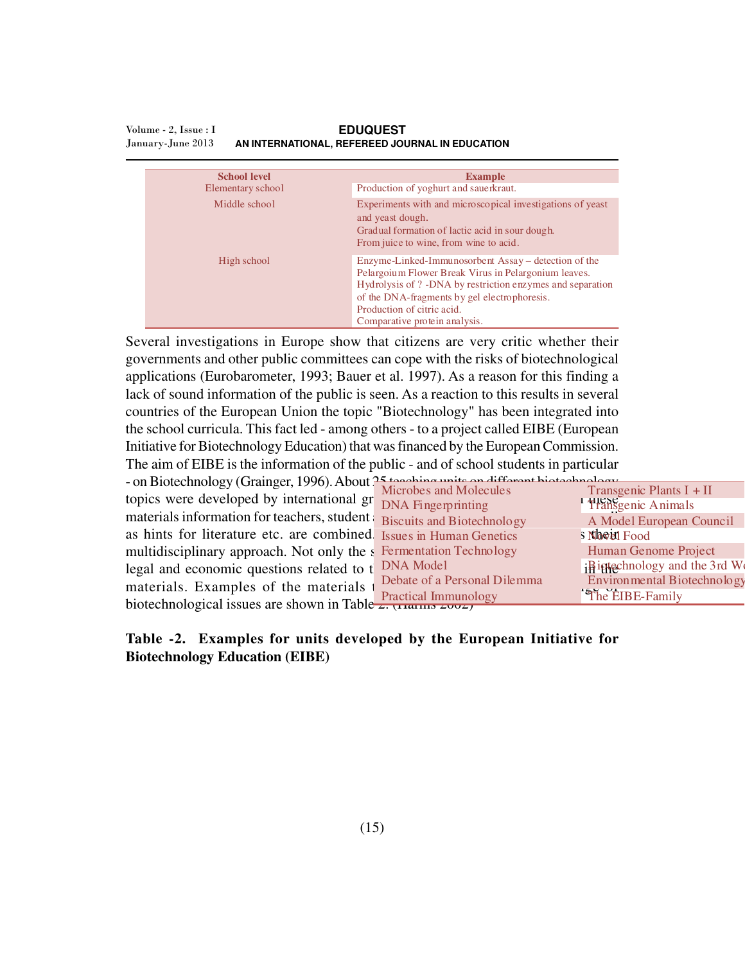| <b>School level</b> |                   | <b>Example</b>                                                                                                                                                                                                                                                                             |  |  |
|---------------------|-------------------|--------------------------------------------------------------------------------------------------------------------------------------------------------------------------------------------------------------------------------------------------------------------------------------------|--|--|
|                     | Elementary school | Production of yoghurt and sauerkraut.                                                                                                                                                                                                                                                      |  |  |
|                     | Middle school     | Experiments with and microscopical investigations of yeast<br>and yeast dough.<br>Gradual formation of lactic acid in sour dough.<br>From juice to wine, from wine to acid.                                                                                                                |  |  |
|                     | High school       | Enzyme-Linked-Immunosorbent Assay – detection of the<br>Pelargoium Flower Break Virus in Pelargonium leaves.<br>Hydrolysis of ? - DNA by restriction enzymes and separation<br>of the DNA-fragments by gel electrophoresis.<br>Production of citric acid.<br>Comparative protein analysis. |  |  |

#### **EDUQUEST AN INTERNATIONAL, REFEREED JOURNAL IN EDUCATION** Volume - 2, Issue : I January-June 2013

Several investigations in Europe show that citizens are very critic whether their governments and other public committees can cope with the risks of biotechnological applications (Eurobarometer, 1993; Bauer et al. 1997). As a reason for this finding a lack of sound information of the public is seen. As a reaction to this results in several countries of the European Union the topic "Biotechnology" has been integrated into the school curricula. This fact led - among others - to a project called EIBE (European Initiative for Biotechnology Education) that was financed by the European Commission. The aim of EIBE is the information of the public - and of school students in particular  $\frac{1}{25}$  biotechnology (Grainger, 1996). About 25 teaching units

| - on Biotechnology (Grainger, 1996). About $\frac{1}{2}$ Marshes and Malaysia and the set between $\frac{1}{2}$ | Microbes and Molecules       | Transgenic Plants $I + II$           |  |  |  |  |
|-----------------------------------------------------------------------------------------------------------------|------------------------------|--------------------------------------|--|--|--|--|
| topics were developed by international gr DNA Fingerprinting                                                    |                              | <sup>l</sup> Transgenic Animals      |  |  |  |  |
| materials information for teachers, student Biscuits and Biotechnology                                          |                              | A Model European Council             |  |  |  |  |
| as hints for literature etc. are combined. Issues in Human Genetics                                             |                              | <b>S Nooiel Food</b>                 |  |  |  |  |
| multidisciplinary approach. Not only the s Fermentation Technology                                              |                              | Human Genome Project                 |  |  |  |  |
| legal and economic questions related to t DNA Model                                                             |                              | <b>i</b> Bietechnology and the 3rd W |  |  |  |  |
| materials. Examples of the materials t                                                                          | Debate of a Personal Dilemma | Environmental Biotechnology          |  |  |  |  |
| biotechnological issues are shown in Table $\frac{1}{2}$ , $\frac{1}{2}$ , $\frac{1}{2}$                        | <b>Practical Immunology</b>  | The EIBE-Family                      |  |  |  |  |
|                                                                                                                 |                              |                                      |  |  |  |  |

#### **Table -2. Examples for units developed by the European Initiative for Biotechnology Education (EIBE)**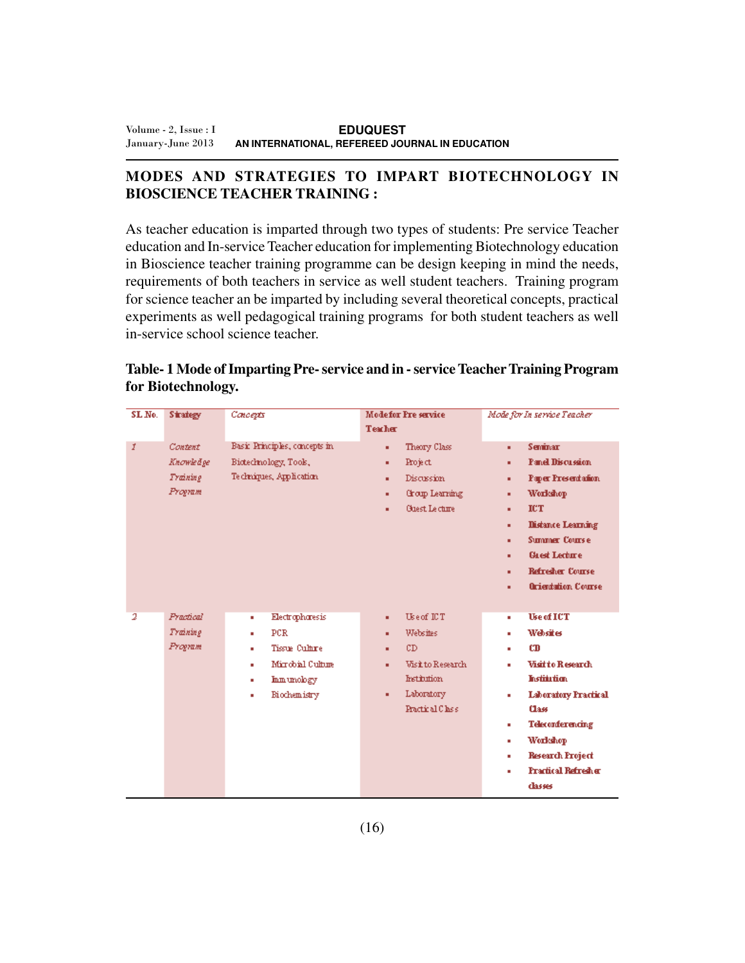# **MODES AND STRATEGIES TO IMPART BIOTECHNOLOGY IN BIOSCIENCE TEACHER TRAINING :**

As teacher education is imparted through two types of students: Pre service Teacher education and In-service Teacher education for implementing Biotechnology education in Bioscience teacher training programme can be design keeping in mind the needs, requirements of both teachers in service as well student teachers. Training program for science teacher an be imparted by including several theoretical concepts, practical experiments as well pedagogical training programs for both student teachers as well in-service school science teacher.

| SL No.                  | <b>Strategy</b>                                    | Concepts                                                                                                                   | <b>Modefor Pre service</b><br><b>Teacher</b>                                                                                              | Mode for In service Teacher                                                                                                                                                                                                                                                            |  |  |
|-------------------------|----------------------------------------------------|----------------------------------------------------------------------------------------------------------------------------|-------------------------------------------------------------------------------------------------------------------------------------------|----------------------------------------------------------------------------------------------------------------------------------------------------------------------------------------------------------------------------------------------------------------------------------------|--|--|
| Ĭ                       | <b>Content</b><br>Knowledge<br>Training<br>Program | Basic Principles, concepts in<br>Biotechnology, Tools,<br>Techniques, Application.                                         | Theory Class<br>٠<br>Project<br>٠<br>Discussion<br>٠<br>Group Learning<br>٠<br><b>Guest Lecture</b><br>٠                                  | <b>Seminar</b><br>٠<br><b>Panel Discussion</b><br>٠<br>Paper Presentation<br>٠<br><b>Workshop</b><br>٠<br><b>ICT</b><br>٠<br><b>Distance Learning</b><br>٠<br><b>Summer Course</b><br>٠<br><b>Greet Lecture</b><br>٠<br><b>Refredier Course</b><br>٠<br><b>Orientation Course</b><br>٠ |  |  |
| $\overline{\mathbf{2}}$ | Practical<br>Training<br>Program                   | Electrophoresis<br>٠<br>PCR.<br>٠<br>Tissue Culture<br>٠<br>Mirrobial Culture<br>٠<br>Inmunology<br>٠<br>Biochemistry<br>٠ | Use of ICT<br>٠<br><b>Websites</b><br>٠<br>CD<br>٠<br><b>Visit to Research</b><br>٠<br>Institution.<br>Laboratory<br>٠<br>Practical Class | <b>Use of ICT</b><br>٠<br>Websites<br>٠<br>CD<br>٠<br>Visit to Research<br>٠<br><b>Institution</b><br><b>Laboratory Practical</b><br>٠<br>Class<br><b>Teleconferencing</b><br>٠<br>Workshop<br>٠<br><b>Research Project</b><br>٠<br><b>Practical Refresher</b><br>٠<br>dasses          |  |  |

**Table- 1 Mode of Imparting Pre- service and in - service Teacher Training Program for Biotechnology.**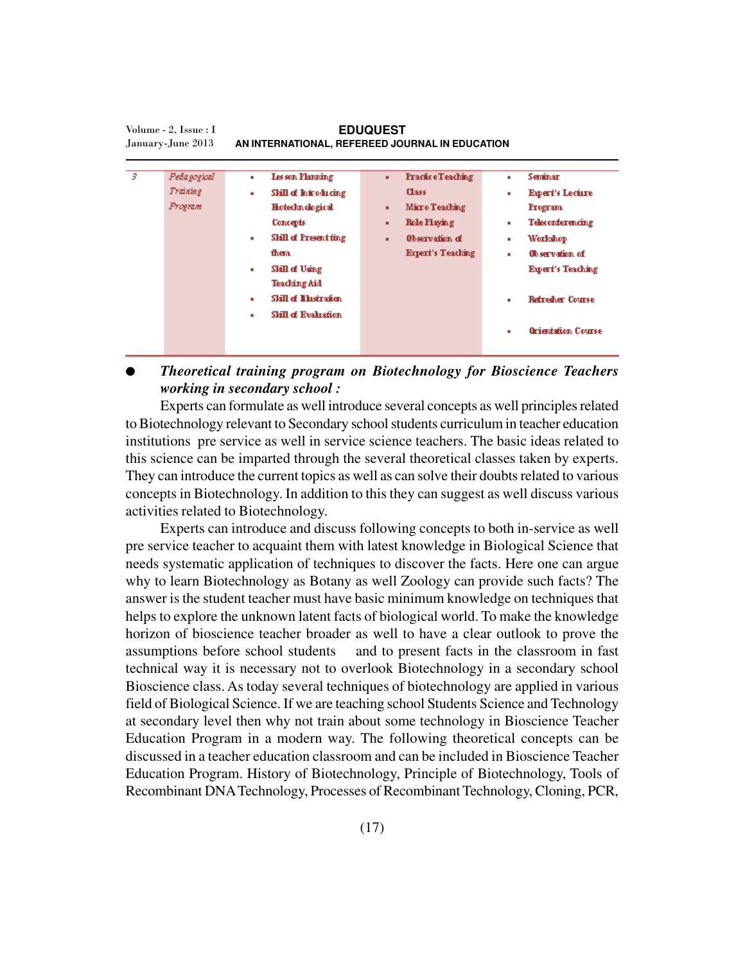| з | Pedagogical | ٠ | Les son Planning             | <b>Fractice Teaching</b><br>۰. | ٠ | Seminar                   |
|---|-------------|---|------------------------------|--------------------------------|---|---------------------------|
|   | Training    | ٠ | Skill of Introducing         | Class:                         | ٠ | <b>Expert's Lecture</b>   |
|   | Program     |   | Hotechn dogical              | Micro Teaching<br>٠            |   | <b>Fregram</b>            |
|   |             |   | Concepts                     | <b>Role Playing</b><br>٠       | ٠ | Teleconferencing          |
|   |             |   | <b>Skill of Present ting</b> | Observation of<br>٠            | ٠ | Workshop                  |
|   |             |   | them                         | <b>Expert's Teaching</b>       | ٠ | <b>Observation of</b>     |
|   |             | ٠ | Skill of Using               |                                |   | <b>Expert's Teaching</b>  |
|   |             |   | <b>Teaching Aid</b>          |                                |   |                           |
|   |             | ٠ | <b>Skill of Thistration</b>  |                                | ٠ | <b>Refredier Course</b>   |
|   |             | ٠ | <b>Skill of Evaluation</b>   |                                |   |                           |
|   |             |   |                              |                                | ٠ | <b>Orientation Course</b> |
|   |             |   |                              |                                |   |                           |
|   |             |   |                              |                                |   |                           |

**EDUQUEST AN INTERNATIONAL, REFEREED JOURNAL IN EDUCATION** Volume - 2, Issue : I January-June 2013

● *Theoretical training program on Biotechnology for Bioscience Teachers working in secondary school :*

Experts can formulate as well introduce several concepts as well principles related to Biotechnology relevant to Secondary school students curriculum in teacher education institutions pre service as well in service science teachers. The basic ideas related to this science can be imparted through the several theoretical classes taken by experts. They can introduce the current topics as well as can solve their doubts related to various concepts in Biotechnology. In addition to this they can suggest as well discuss various activities related to Biotechnology.

Experts can introduce and discuss following concepts to both in-service as well pre service teacher to acquaint them with latest knowledge in Biological Science that needs systematic application of techniques to discover the facts. Here one can argue why to learn Biotechnology as Botany as well Zoology can provide such facts? The answer is the student teacher must have basic minimum knowledge on techniques that helps to explore the unknown latent facts of biological world. To make the knowledge horizon of bioscience teacher broader as well to have a clear outlook to prove the assumptions before school students and to present facts in the classroom in fast technical way it is necessary not to overlook Biotechnology in a secondary school Bioscience class. As today several techniques of biotechnology are applied in various field of Biological Science. If we are teaching school Students Science and Technology at secondary level then why not train about some technology in Bioscience Teacher Education Program in a modern way. The following theoretical concepts can be discussed in a teacher education classroom and can be included in Bioscience Teacher Education Program. History of Biotechnology, Principle of Biotechnology, Tools of Recombinant DNA Technology, Processes of Recombinant Technology, Cloning, PCR,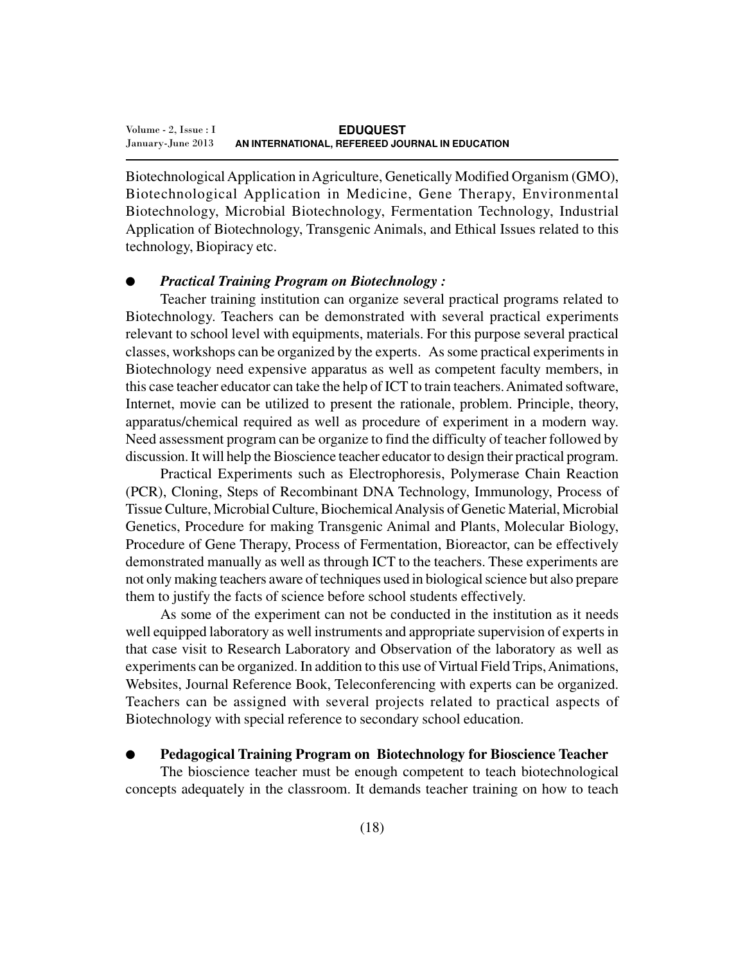Biotechnological Application in Agriculture, Genetically Modified Organism (GMO), Biotechnological Application in Medicine, Gene Therapy, Environmental Biotechnology, Microbial Biotechnology, Fermentation Technology, Industrial Application of Biotechnology, Transgenic Animals, and Ethical Issues related to this technology, Biopiracy etc.

#### *Practical Training Program on Biotechnology:*

Teacher training institution can organize several practical programs related to Biotechnology. Teachers can be demonstrated with several practical experiments relevant to school level with equipments, materials. For this purpose several practical classes, workshops can be organized by the experts. As some practical experiments in Biotechnology need expensive apparatus as well as competent faculty members, in this case teacher educator can take the help of ICT to train teachers. Animated software, Internet, movie can be utilized to present the rationale, problem. Principle, theory, apparatus/chemical required as well as procedure of experiment in a modern way. Need assessment program can be organize to find the difficulty of teacher followed by discussion. It will help the Bioscience teacher educator to design their practical program.

Practical Experiments such as Electrophoresis, Polymerase Chain Reaction (PCR), Cloning, Steps of Recombinant DNA Technology, Immunology, Process of Tissue Culture, Microbial Culture, Biochemical Analysis of Genetic Material, Microbial Genetics, Procedure for making Transgenic Animal and Plants, Molecular Biology, Procedure of Gene Therapy, Process of Fermentation, Bioreactor, can be effectively demonstrated manually as well as through ICT to the teachers. These experiments are not only making teachers aware of techniques used in biological science but also prepare them to justify the facts of science before school students effectively.

As some of the experiment can not be conducted in the institution as it needs well equipped laboratory as well instruments and appropriate supervision of experts in that case visit to Research Laboratory and Observation of the laboratory as well as experiments can be organized. In addition to this use of Virtual Field Trips, Animations, Websites, Journal Reference Book, Teleconferencing with experts can be organized. Teachers can be assigned with several projects related to practical aspects of Biotechnology with special reference to secondary school education.

#### ● **Pedagogical Training Program on Biotechnology for Bioscience Teacher**

The bioscience teacher must be enough competent to teach biotechnological concepts adequately in the classroom. It demands teacher training on how to teach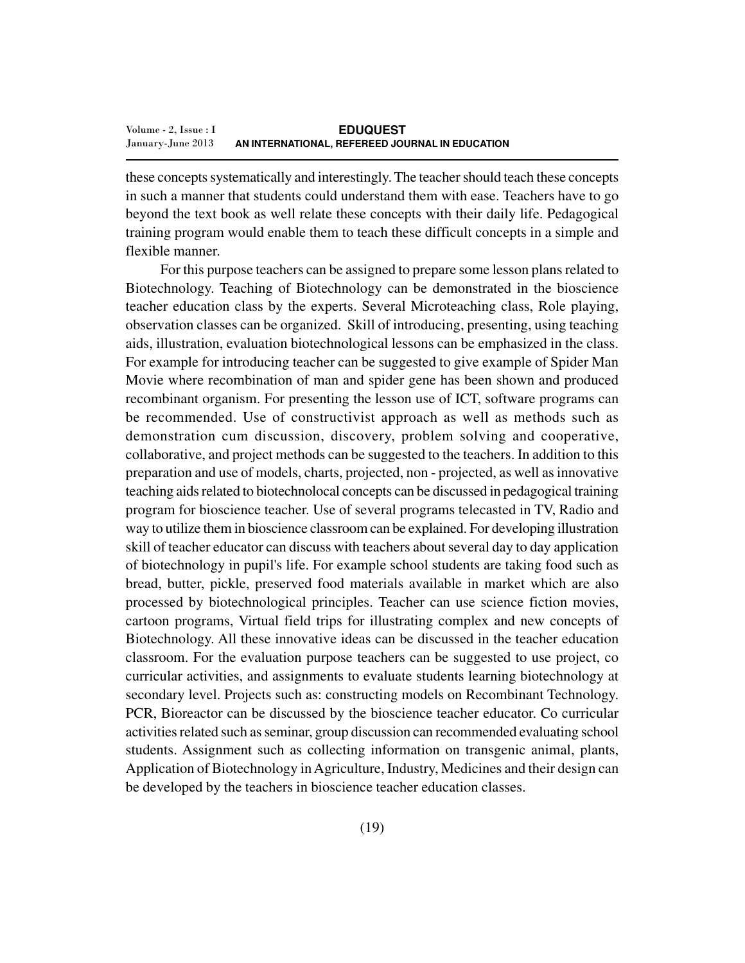these concepts systematically and interestingly. The teacher should teach these concepts in such a manner that students could understand them with ease. Teachers have to go beyond the text book as well relate these concepts with their daily life. Pedagogical training program would enable them to teach these difficult concepts in a simple and flexible manner.

For this purpose teachers can be assigned to prepare some lesson plans related to Biotechnology. Teaching of Biotechnology can be demonstrated in the bioscience teacher education class by the experts. Several Microteaching class, Role playing, observation classes can be organized. Skill of introducing, presenting, using teaching aids, illustration, evaluation biotechnological lessons can be emphasized in the class. For example for introducing teacher can be suggested to give example of Spider Man Movie where recombination of man and spider gene has been shown and produced recombinant organism. For presenting the lesson use of ICT, software programs can be recommended. Use of constructivist approach as well as methods such as demonstration cum discussion, discovery, problem solving and cooperative, collaborative, and project methods can be suggested to the teachers. In addition to this preparation and use of models, charts, projected, non - projected, as well as innovative teaching aids related to biotechnolocal concepts can be discussed in pedagogical training program for bioscience teacher. Use of several programs telecasted in TV, Radio and way to utilize them in bioscience classroom can be explained. For developing illustration skill of teacher educator can discuss with teachers about several day to day application of biotechnology in pupil's life. For example school students are taking food such as bread, butter, pickle, preserved food materials available in market which are also processed by biotechnological principles. Teacher can use science fiction movies, cartoon programs, Virtual field trips for illustrating complex and new concepts of Biotechnology. All these innovative ideas can be discussed in the teacher education classroom. For the evaluation purpose teachers can be suggested to use project, co curricular activities, and assignments to evaluate students learning biotechnology at secondary level. Projects such as: constructing models on Recombinant Technology. PCR, Bioreactor can be discussed by the bioscience teacher educator. Co curricular activities related such as seminar, group discussion can recommended evaluating school students. Assignment such as collecting information on transgenic animal, plants, Application of Biotechnology in Agriculture, Industry, Medicines and their design can be developed by the teachers in bioscience teacher education classes.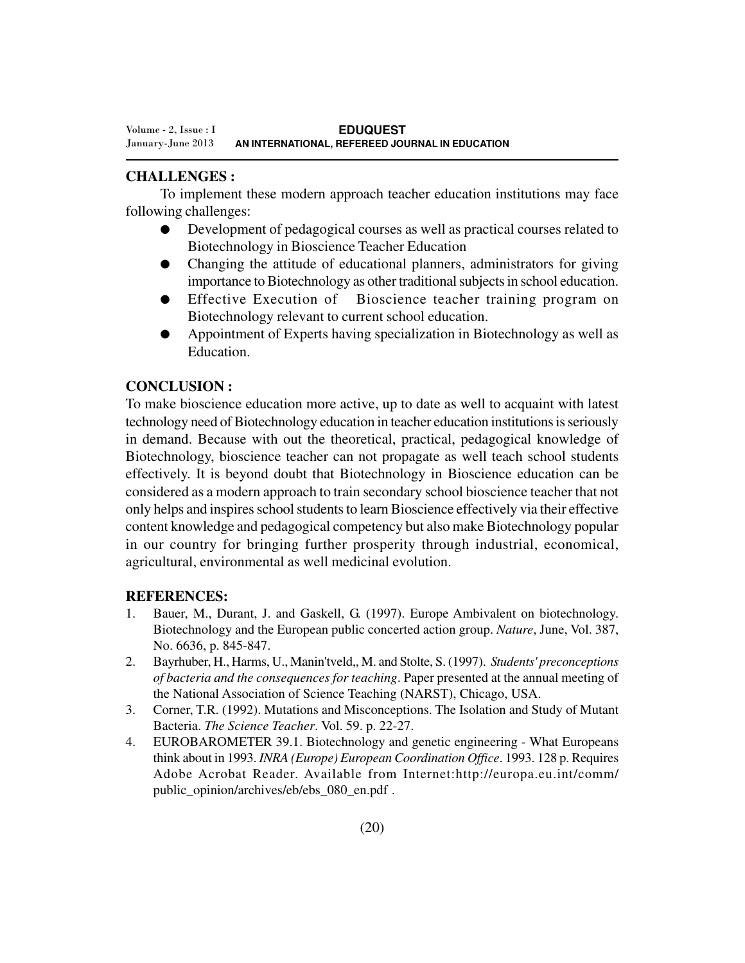### **CHALLENGES :**

To implement these modern approach teacher education institutions may face following challenges:

- Development of pedagogical courses as well as practical courses related to Biotechnology in Bioscience Teacher Education
- Changing the attitude of educational planners, administrators for giving importance to Biotechnology as other traditional subjects in school education.
- Effective Execution of Bioscience teacher training program on Biotechnology relevant to current school education.
- Appointment of Experts having specialization in Biotechnology as well as Education.

#### **CONCLUSION :**

To make bioscience education more active, up to date as well to acquaint with latest technology need of Biotechnology education in teacher education institutions is seriously in demand. Because with out the theoretical, practical, pedagogical knowledge of Biotechnology, bioscience teacher can not propagate as well teach school students effectively. It is beyond doubt that Biotechnology in Bioscience education can be considered as a modern approach to train secondary school bioscience teacher that not only helps and inspires school students to learn Bioscience effectively via their effective content knowledge and pedagogical competency but also make Biotechnology popular in our country for bringing further prosperity through industrial, economical, agricultural, environmental as well medicinal evolution.

#### **REFERENCES:**

- 1. Bauer, M., Durant, J. and Gaskell, G. (1997). Europe Ambivalent on biotechnology. Biotechnology and the European public concerted action group. *Nature*, June, Vol. 387, No. 6636, p. 845-847.
- 2. Bayrhuber, H., Harms, U., Manin'tveld,, M. and Stolte, S. (1997). *Students' preconceptions of bacteria and the consequences for teaching*. Paper presented at the annual meeting of the National Association of Science Teaching (NARST), Chicago, USA.
- 3. Corner, T.R. (1992). Mutations and Misconceptions. The Isolation and Study of Mutant Bacteria. *The Science Teacher*. Vol. 59. p. 22-27.
- 4. EUROBAROMETER 39.1. Biotechnology and genetic engineering What Europeans think about in 1993. *INRA (Europe) European Coordination Office*. 1993. 128 p. Requires Adobe Acrobat Reader. Available from Internet:http://europa.eu.int/comm/ public\_opinion/archives/eb/ebs\_080\_en.pdf.